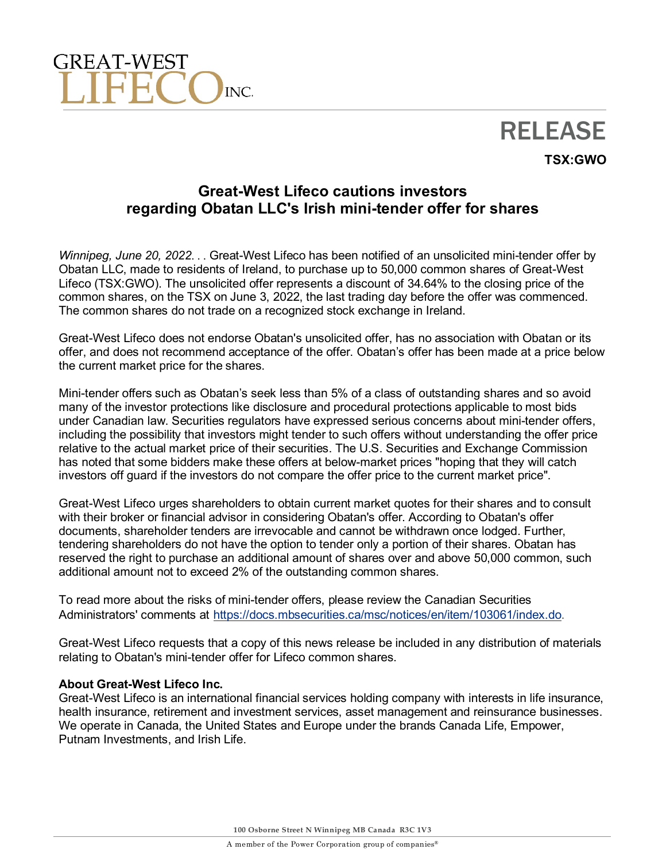

## RELEASE

**TSX:GWO**

## **Great-West Lifeco cautions investors regarding Obatan LLC's Irish mini-tender offer for shares**

*Winnipeg, June 20, 2022*. . . Great-West Lifeco has been notified of an unsolicited mini-tender offer by Obatan LLC, made to residents of Ireland, to purchase up to 50,000 common shares of Great-West Lifeco (TSX:GWO). The unsolicited offer represents a discount of 34.64% to the closing price of the common shares, on the TSX on June 3, 2022, the last trading day before the offer was commenced. The common shares do not trade on a recognized stock exchange in Ireland.

Great-West Lifeco does not endorse Obatan's unsolicited offer, has no association with Obatan or its offer, and does not recommend acceptance of the offer. Obatan's offer has been made at a price below the current market price for the shares.

Mini-tender offers such as Obatan's seek less than 5% of a class of outstanding shares and so avoid many of the investor protections like disclosure and procedural protections applicable to most bids under Canadian law. Securities regulators have expressed serious concerns about mini-tender offers, including the possibility that investors might tender to such offers without understanding the offer price relative to the actual market price of their securities. The U.S. Securities and Exchange Commission has noted that some bidders make these offers at below-market prices "hoping that they will catch investors off guard if the investors do not compare the offer price to the current market price".

Great-West Lifeco urges shareholders to obtain current market quotes for their shares and to consult with their broker or financial advisor in considering Obatan's offer. According to Obatan's offer documents, shareholder tenders are irrevocable and cannot be withdrawn once lodged. Further, tendering shareholders do not have the option to tender only a portion of their shares. Obatan has reserved the right to purchase an additional amount of shares over and above 50,000 common, such additional amount not to exceed 2% of the outstanding common shares.

To read more about the risks of mini-tender offers, please review the Canadian Securities Administrators' comments at [https://docs.mbsecurities.ca/msc/notices/en/item/103061/index.do.](https://docs.mbsecurities.ca/msc/notices/en/item/103061/index.do)

Great-West Lifeco requests that a copy of this news release be included in any distribution of materials relating to Obatan's mini-tender offer for Lifeco common shares.

## **About Great-West Lifeco Inc.**

Great-West Lifeco is an international financial services holding company with interests in life insurance, health insurance, retirement and investment services, asset management and reinsurance businesses. We operate in Canada, the United States and Europe under the brands Canada Life, Empower, Putnam Investments, and Irish Life.